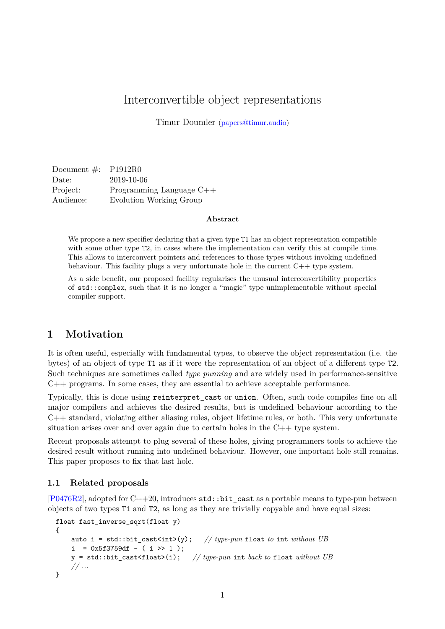# Interconvertible object representations

Timur Doumler [\(papers@timur.audio\)](mailto:papers@timur.audio)

| Document $\#$ : P1912R0 |                            |
|-------------------------|----------------------------|
| Date:                   | 2019-10-06                 |
| Project:                | Programming Language $C++$ |
| Audience:               | Evolution Working Group    |

#### **Abstract**

We propose a new specifier declaring that a given type  $T1$  has an object representation compatible with some other type  $T2$ , in cases where the implementation can verify this at compile time. This allows to interconvert pointers and references to those types without invoking undefined behaviour. This facility plugs a very unfortunate hole in the current  $C++$  type system.

As a side benefit, our proposed facility regularises the unusual interconvertibility properties of std::complex, such that it is no longer a "magic" type unimplementable without special compiler support.

### **1 Motivation**

It is often useful, especially with fundamental types, to observe the object representation (i.e. the bytes) of an object of type T1 as if it were the representation of an object of a different type T2. Such techniques are sometimes called *type punning* and are widely used in performance-sensitive C++ programs. In some cases, they are essential to achieve acceptable performance.

Typically, this is done using reinterpret\_cast or union. Often, such code compiles fine on all major compilers and achieves the desired results, but is undefined behaviour according to the C++ standard, violating either aliasing rules, object lifetime rules, or both. This very unfortunate situation arises over and over again due to certain holes in the C++ type system.

Recent proposals attempt to plug several of these holes, giving programmers tools to achieve the desired result without running into undefined behaviour. However, one important hole still remains. This paper proposes to fix that last hole.

#### **1.1 Related proposals**

 $[P0476R2]$ , adopted for  $C++20$ , introduces  $std::bit\_cast$  as a portable means to type-pun between objects of two types T1 and T2, as long as they are trivially copyable and have equal sizes:

```
float fast_inverse_sqrt(float y)
{
    auto i = std::bit_cast<int>(y); // type-pun float to int without UB
    i = 0x5f3759df - (i \gg 1);y = std::bit_cast<float>(i); // type-pun int back to float without UB
    // ...
}
```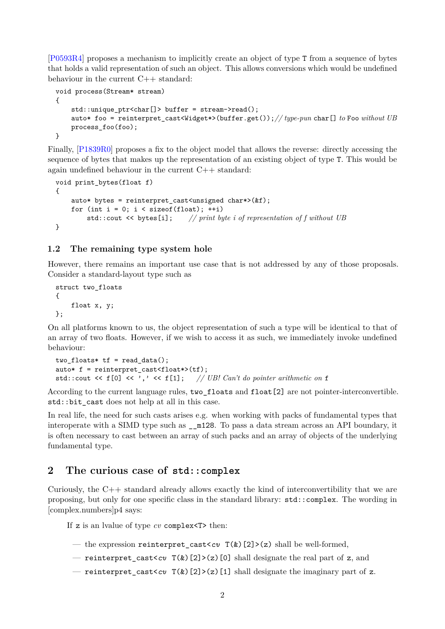[\[P0593R4\]](#page-3-1) proposes a mechanism to implicitly create an object of type T from a sequence of bytes that holds a valid representation of such an object. This allows conversions which would be undefined behaviour in the current  $C++$  standard:

```
void process(Stream* stream)
{
    std::unique ptr<char[]> buffer = stream->read();
    auto* foo = reinterpret_cast<Widget*>(buffer.get());// type-pun char[] to Foo without UB
    process foo(foo);
}
```
Finally, [\[P1839R0\]](#page-3-2) proposes a fix to the object model that allows the reverse: directly accessing the sequence of bytes that makes up the representation of an existing object of type T. This would be again undefined behaviour in the current C++ standard:

```
void print_bytes(float f)
{
    auto* bytes = reinterpret_cast<unsigned char*>(&f);
    for (int i = 0; i \leq sizeof(float); ++i)std::cout << bytes[i]; // print byte i of representation of f without UB
}
```
### **1.2 The remaining type system hole**

However, there remains an important use case that is not addressed by any of those proposals. Consider a standard-layout type such as

struct two\_floats { float x, y; };

On all platforms known to us, the object representation of such a type will be identical to that of an array of two floats. However, if we wish to access it as such, we immediately invoke undefined behaviour:

```
two_floats* tf = read_data();
auto* f = reinterpret_cast<float*>(tf);
std::cout << f[0] << ',' << f[1]; // UB! Can't do pointer arithmetic on f
```
According to the current language rules, two\_floats and float[2] are not pointer-interconvertible. std::bit\_cast does not help at all in this case.

In real life, the need for such casts arises e.g. when working with packs of fundamental types that interoperate with a SIMD type such as  $\mod{m}$  m128. To pass a data stream across an API boundary, it is often necessary to cast between an array of such packs and an array of objects of the underlying fundamental type.

## **2 The curious case of std::complex**

Curiously, the C++ standard already allows exactly the kind of interconvertibility that we are proposing, but only for one specific class in the standard library: std::complex. The wording in [complex.numbers]p4 says:

If z is an lvalue of type *cv* complex<T> then:

- the expression reinterpret\_cast<*cv* T(&)[2]>(z) shall be well-formed,
- reinterpret\_cast<*cv*  $T(k)[2]>(z)[0]$  shall designate the real part of z, and
- reinterpret\_cast<cv  $T(k)[2]>(z)[1]$  shall designate the imaginary part of z.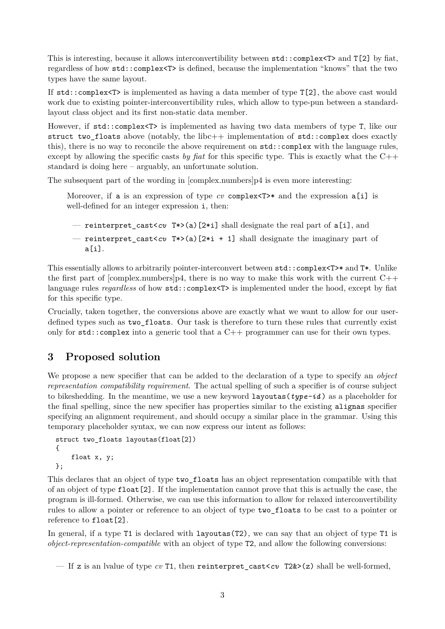This is interesting, because it allows interconvertibility between std::complex<T> and T[2] by fiat, regardless of how std::complex<T> is defined, because the implementation "knows" that the two types have the same layout.

If std::complex<T> is implemented as having a data member of type T[2], the above cast would work due to existing pointer-interconvertibility rules, which allow to type-pun between a standardlayout class object and its first non-static data member.

However, if std::complex<T> is implemented as having two data members of type T, like our struct two floats above (notably, the libc $++$  implementation of  $std::complex$  does exactly this), there is no way to reconcile the above requirement on std::complex with the language rules, except by allowing the specific casts *by fiat* for this specific type. This is exactly what the C++ standard is doing here – arguably, an unfortunate solution.

The subsequent part of the wording in [complex.numbers]p4 is even more interesting:

Moreover, if a is an expression of type *cv* complex  $\langle T \rangle^*$  and the expression a[i] is well-defined for an integer expression  $i$ , then:

- reinterpret\_cast<*cv* T\*>(a)[2\*i] shall designate the real part of a[i], and
- reinterpret\_cast<*cv*  $T^*$ >(a)[2<sup>\*i</sup> + 1] shall designate the imaginary part of a[i].

This essentially allows to arbitrarily pointer-interconvert between std::complex<T>\* and T\*. Unlike the first part of  $[complex numbers]p4$ , there is no way to make this work with the current  $C++$ language rules *regardless* of how std::complex<T> is implemented under the hood, except by fiat for this specific type.

Crucially, taken together, the conversions above are exactly what we want to allow for our userdefined types such as two\_floats. Our task is therefore to turn these rules that currently exist only for  $\text{std}$ :: $\text{complex}$  into a generic tool that a  $C++$  programmer can use for their own types.

## **3 Proposed solution**

We propose a new specifier that can be added to the declaration of a type to specify an *object representation compatibility requirement*. The actual spelling of such a specifier is of course subject to bikeshedding. In the meantime, we use a new keyword layoutas(*type-id* ) as a placeholder for the final spelling, since the new specifier has properties similar to the existing alignas specifier specifying an alignment requirement, and should occupy a similar place in the grammar. Using this temporary placeholder syntax, we can now express our intent as follows:

```
struct two_floats layoutas(float[2])
{
    float x, y;
};
```
This declares that an object of type two\_floats has an object representation compatible with that of an object of type float[2]. If the implementation cannot prove that this is actually the case, the program is ill-formed. Otherwise, we can use this information to allow for relaxed interconvertibility rules to allow a pointer or reference to an object of type two\_floats to be cast to a pointer or reference to float [2].

In general, if a type T1 is declared with layoutas(T2), we can say that an object of type T1 is *object-representation-compatible* with an object of type T2, and allow the following conversions:

<sup>—</sup> If z is an lvalue of type *cv* T1, then reinterpret\_cast<*cv* T2&>(z) shall be well-formed,